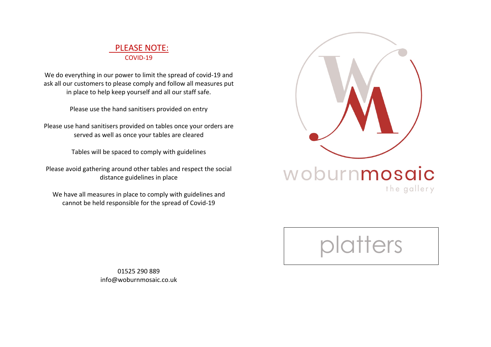## PLEASE NOTE: COVID-19

We do everything in our power to limit the spread of covid-19 and ask all our customers to please comply and follow all measures put in place to help keep yourself and all our staff safe.

Please use the hand sanitisers provided on entry

Please use hand sanitisers provided on tables once your orders are served as well as once your tables are cleared

Tables will be spaced to comply with guidelines

Please avoid gathering around other tables and respect the social distance guidelines in place

We have all measures in place to comply with guidelines and cannot be held responsible for the spread of Covid-19



woburnmosaic the gallery

ters

01525 290 889 info@woburnmosaic.co.uk